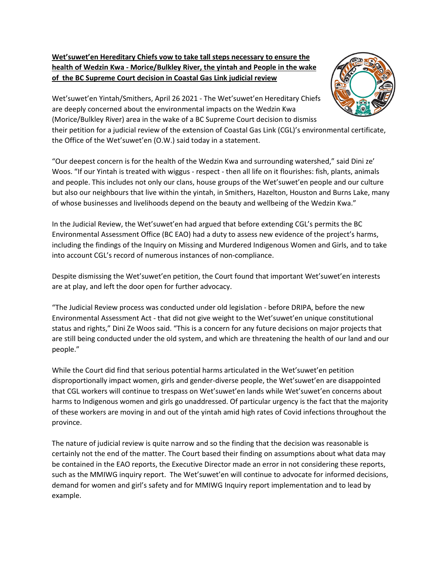## **Wet'suwet'en Hereditary Chiefs vow to take tall steps necessary to ensure the health of Wedzin Kwa - Morice/Bulkley River, the yintah and People in the wake of the BC Supreme Court decision in Coastal Gas Link judicial review**



Wet'suwet'en Yintah/Smithers, April 26 2021 - The Wet'suwet'en Hereditary Chiefs are deeply concerned about the environmental impacts on the Wedzin Kwa (Morice/Bulkley River) area in the wake of a BC Supreme Court decision to dismiss

their petition for a judicial review of the extension of Coastal Gas Link (CGL)'s environmental certificate, the Office of the Wet'suwet'en (O.W.) said today in a statement.

"Our deepest concern is for the health of the Wedzin Kwa and surrounding watershed," said Dini ze' Woos. "If our Yintah is treated with wiggus - respect - then all life on it flourishes: fish, plants, animals and people. This includes not only our clans, house groups of the Wet'suwet'en people and our culture but also our neighbours that live within the yintah, in Smithers, Hazelton, Houston and Burns Lake, many of whose businesses and livelihoods depend on the beauty and wellbeing of the Wedzin Kwa."

In the Judicial Review, the Wet'suwet'en had argued that before extending CGL's permits the BC Environmental Assessment Office (BC EAO) had a duty to assess new evidence of the project's harms, including the findings of the Inquiry on Missing and Murdered Indigenous Women and Girls, and to take into account CGL's record of numerous instances of non-compliance.

Despite dismissing the Wet'suwet'en petition, the Court found that important Wet'suwet'en interests are at play, and left the door open for further advocacy.

"The Judicial Review process was conducted under old legislation - before DRIPA, before the new Environmental Assessment Act - that did not give weight to the Wet'suwet'en unique constitutional status and rights," Dini Ze Woos said. "This is a concern for any future decisions on major projects that are still being conducted under the old system, and which are threatening the health of our land and our people."

While the Court did find that serious potential harms articulated in the Wet'suwet'en petition disproportionally impact women, girls and gender-diverse people, the Wet'suwet'en are disappointed that CGL workers will continue to trespass on Wet'suwet'en lands while Wet'suwet'en concerns about harms to Indigenous women and girls go unaddressed. Of particular urgency is the fact that the majority of these workers are moving in and out of the yintah amid high rates of Covid infections throughout the province.

The nature of judicial review is quite narrow and so the finding that the decision was reasonable is certainly not the end of the matter. The Court based their finding on assumptions about what data may be contained in the EAO reports, the Executive Director made an error in not considering these reports, such as the MMIWG inquiry report. The Wet'suwet'en will continue to advocate for informed decisions, demand for women and girl's safety and for MMIWG Inquiry report implementation and to lead by example.